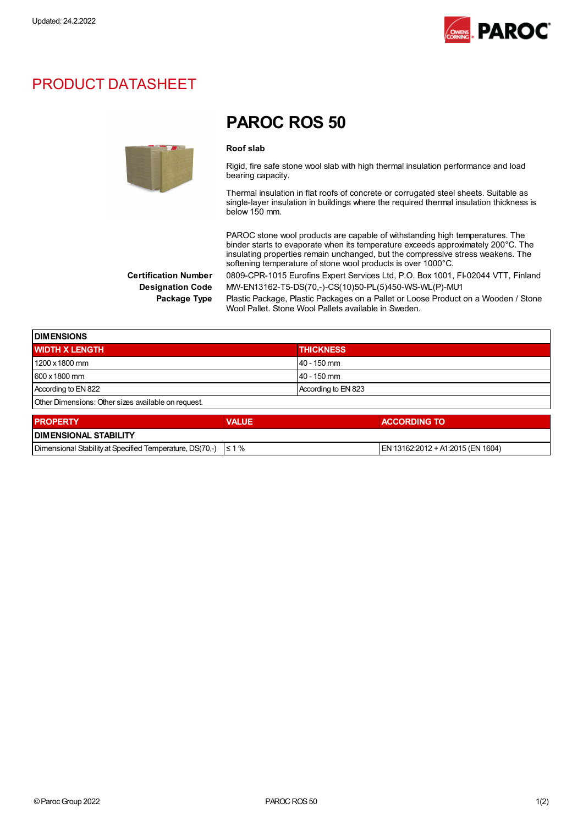

## PRODUCT DATASHEET



## PAROC ROS 50

## Roof slab

Rigid, fire safe stone wool slab with high thermal insulation performance and load bearing capacity.

Thermal insulation in flat roofs of concrete or corrugated steel sheets. Suitable as single-layer insulation in buildings where the required thermal insulation thickness is below 150 mm.

PAROC stone wool products are capable of withstanding high temperatures. The binder starts to evaporate when its temperature exceeds approximately 200°C. The insulating properties remain unchanged, but the compressive stress weakens. The softening temperature of stone wool products is over 1000°C.

Certification Number 0809-CPR-1015 Eurofins Expert Services Ltd, P.O. Box 1001, FI-02044 VTT, Finland Designation Code MW-EN13162-T5-DS(70,-)-CS(10)50-PL(5)450-WS-WL(P)-MU1

Package Type Plastic Package, Plastic Packages on a Pallet or Loose Product on a Wooden / Stone Wool Pallet. Stone Wool Pallets available in Sweden.

| <b>DIMENSIONS</b>                                   |                     |  |
|-----------------------------------------------------|---------------------|--|
| <b>WIDTH X LENGTH</b>                               | <b>THICKNESS</b>    |  |
| 1200 x 1800 mm                                      | $40 - 150$ mm       |  |
| 600 x 1800 mm                                       | 40 - 150 mm         |  |
| According to EN 822                                 | According to EN 823 |  |
| Other Dimensions: Other sizes available on request. |                     |  |
|                                                     |                     |  |

| <b>I PROPERTY</b>                                                   | <b>VALUE</b> | <b>ACCORDING TO</b>               |  |
|---------------------------------------------------------------------|--------------|-----------------------------------|--|
| <b>I DIMENSIONAL STABILITY</b>                                      |              |                                   |  |
| Dimensional Stability at Specified Temperature, DS(70,-) $\leq 1\%$ |              | EN 13162:2012 + A1:2015 (EN 1604) |  |